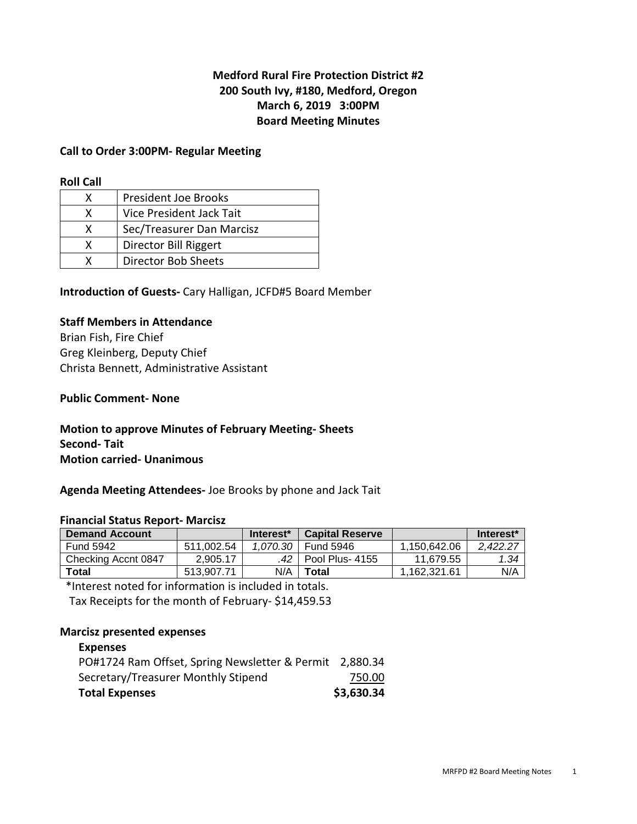# **Medford Rural Fire Protection District #2 200 South Ivy, #180, Medford, Oregon March 6, 2019 3:00PM Board Meeting Minutes**

## **Call to Order 3:00PM- Regular Meeting**

#### **Roll Call**

|   | <b>President Joe Brooks</b> |
|---|-----------------------------|
| x | Vice President Jack Tait    |
| x | Sec/Treasurer Dan Marcisz   |
| x | Director Bill Riggert       |
|   | <b>Director Bob Sheets</b>  |

**Introduction of Guests-** Cary Halligan, JCFD#5 Board Member

#### **Staff Members in Attendance**

Brian Fish, Fire Chief Greg Kleinberg, Deputy Chief Christa Bennett, Administrative Assistant

#### **Public Comment- None**

# **Motion to approve Minutes of February Meeting- Sheets Second- Tait Motion carried- Unanimous**

**Agenda Meeting Attendees-** Joe Brooks by phone and Jack Tait

#### **Financial Status Report- Marcisz**

| <b>Demand Account</b> |            | Interest <sup>*</sup> | <b>Capital Reserve</b> |              | Interest <sup>*</sup> |
|-----------------------|------------|-----------------------|------------------------|--------------|-----------------------|
| <b>Fund 5942</b>      | 511.002.54 | 1.070.30              | <b>Fund 5946</b>       | 1.150.642.06 | 2.422.27              |
| Checking Accnt 0847   | 2.905.17   | .42                   | Pool Plus- 4155        | 11.679.55    | 1.34                  |
| Total                 | 513.907.71 | N/A                   | Total                  | 1.162.321.61 | N/A                   |

\*Interest noted for information is included in totals.

Tax Receipts for the month of February- \$14,459.53

#### **Marcisz presented expenses**

| <b>Expenses</b>                                         |            |
|---------------------------------------------------------|------------|
| PO#1724 Ram Offset, Spring Newsletter & Permit 2,880.34 |            |
| Secretary/Treasurer Monthly Stipend                     | 750.00     |
| <b>Total Expenses</b>                                   | \$3,630.34 |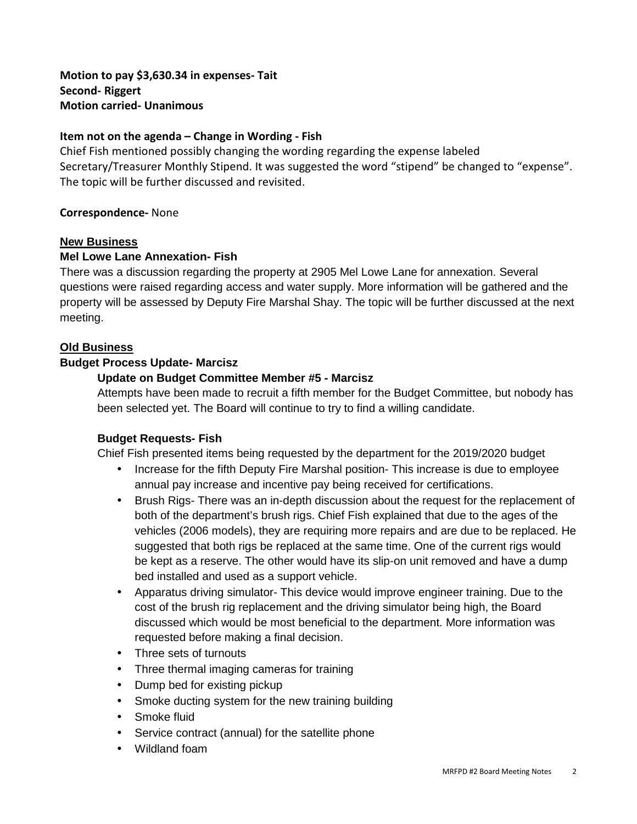**Motion to pay \$3,630.34 in expenses- Tait Second- Riggert Motion carried- Unanimous** 

# **Item not on the agenda – Change in Wording - Fish**

Chief Fish mentioned possibly changing the wording regarding the expense labeled Secretary/Treasurer Monthly Stipend. It was suggested the word "stipend" be changed to "expense". The topic will be further discussed and revisited.

# **Correspondence-** None

## **New Business**

## **Mel Lowe Lane Annexation- Fish**

There was a discussion regarding the property at 2905 Mel Lowe Lane for annexation. Several questions were raised regarding access and water supply. More information will be gathered and the property will be assessed by Deputy Fire Marshal Shay. The topic will be further discussed at the next meeting.

## **Old Business**

## **Budget Process Update- Marcisz**

## **Update on Budget Committee Member #5 - Marcisz**

Attempts have been made to recruit a fifth member for the Budget Committee, but nobody has been selected yet. The Board will continue to try to find a willing candidate.

#### **Budget Requests- Fish**

Chief Fish presented items being requested by the department for the 2019/2020 budget

- Increase for the fifth Deputy Fire Marshal position- This increase is due to employee annual pay increase and incentive pay being received for certifications.
- Brush Rigs- There was an in-depth discussion about the request for the replacement of both of the department's brush rigs. Chief Fish explained that due to the ages of the vehicles (2006 models), they are requiring more repairs and are due to be replaced. He suggested that both rigs be replaced at the same time. One of the current rigs would be kept as a reserve. The other would have its slip-on unit removed and have a dump bed installed and used as a support vehicle.
- Apparatus driving simulator- This device would improve engineer training. Due to the cost of the brush rig replacement and the driving simulator being high, the Board discussed which would be most beneficial to the department. More information was requested before making a final decision.
- Three sets of turnouts
- Three thermal imaging cameras for training
- Dump bed for existing pickup
- Smoke ducting system for the new training building
- Smoke fluid
- Service contract (annual) for the satellite phone
- Wildland foam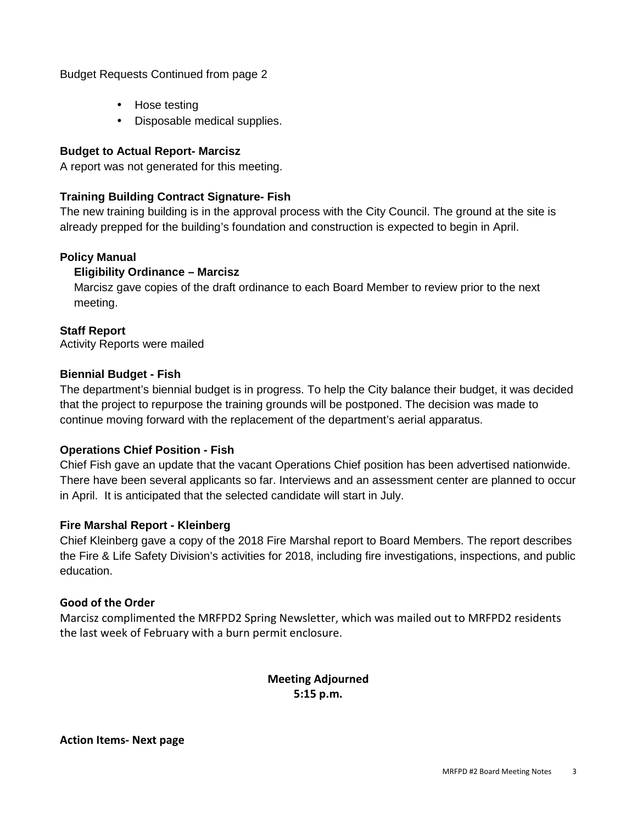# Budget Requests Continued from page 2

- Hose testing
- Disposable medical supplies.

# **Budget to Actual Report- Marcisz**

A report was not generated for this meeting.

# **Training Building Contract Signature- Fish**

The new training building is in the approval process with the City Council. The ground at the site is already prepped for the building's foundation and construction is expected to begin in April.

# **Policy Manual**

# **Eligibility Ordinance – Marcisz**

Marcisz gave copies of the draft ordinance to each Board Member to review prior to the next meeting.

# **Staff Report**

Activity Reports were mailed

## **Biennial Budget - Fish**

The department's biennial budget is in progress. To help the City balance their budget, it was decided that the project to repurpose the training grounds will be postponed. The decision was made to continue moving forward with the replacement of the department's aerial apparatus.

# **Operations Chief Position - Fish**

Chief Fish gave an update that the vacant Operations Chief position has been advertised nationwide. There have been several applicants so far. Interviews and an assessment center are planned to occur in April. It is anticipated that the selected candidate will start in July.

# **Fire Marshal Report - Kleinberg**

Chief Kleinberg gave a copy of the 2018 Fire Marshal report to Board Members. The report describes the Fire & Life Safety Division's activities for 2018, including fire investigations, inspections, and public education.

# **Good of the Order**

Marcisz complimented the MRFPD2 Spring Newsletter, which was mailed out to MRFPD2 residents the last week of February with a burn permit enclosure.

> **Meeting Adjourned 5:15 p.m.**